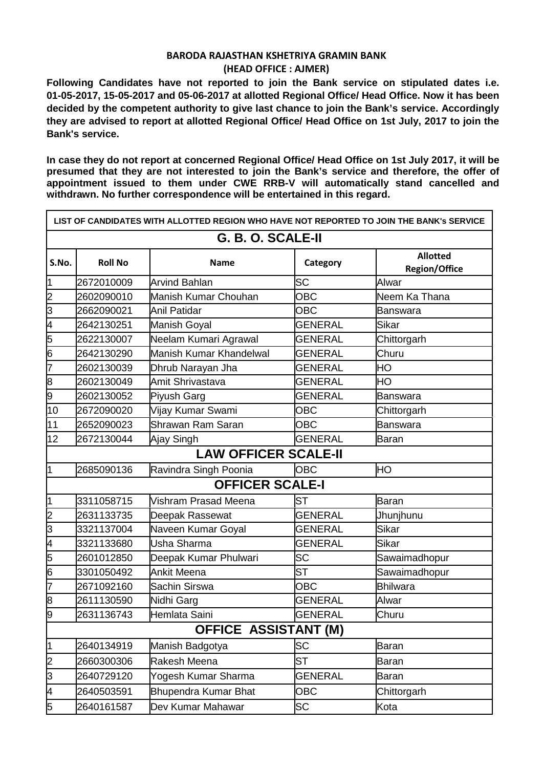## **BARODA RAJASTHAN KSHETRIYA GRAMIN BANK (HEAD OFFICE : AJMER)**

**Following Candidates have not reported to join the Bank service on stipulated dates i.e. 01-05-2017, 15-05-2017 and 05-06-2017 at allotted Regional Office/ Head Office. Now it has been decided by the competent authority to give last chance to join the Bank's service. Accordingly they are advised to report at allotted Regional Office/ Head Office on 1st July, 2017 to join the Bank's service.**

**In case they do not report at concerned Regional Office/ Head Office on 1st July 2017, it will be presumed that they are not interested to join the Bank's service and therefore, the offer of appointment issued to them under CWE RRB-V will automatically stand cancelled and withdrawn. No further correspondence will be entertained in this regard.**

|                         |                | LIST OF CANDIDATES WITH ALLOTTED REGION WHO HAVE NOT REPORTED TO JOIN THE BANK's SERVICE |                |                                         |  |  |  |
|-------------------------|----------------|------------------------------------------------------------------------------------------|----------------|-----------------------------------------|--|--|--|
| G. B. O. SCALE-II       |                |                                                                                          |                |                                         |  |  |  |
| S.No.                   | <b>Roll No</b> | <b>Name</b>                                                                              | Category       | <b>Allotted</b><br><b>Region/Office</b> |  |  |  |
| 1                       | 2672010009     | <b>Arvind Bahlan</b>                                                                     | <b>SC</b>      | Alwar                                   |  |  |  |
| သူတ                     | 2602090010     | Manish Kumar Chouhan                                                                     | <b>OBC</b>     | Neem Ka Thana                           |  |  |  |
|                         | 2662090021     | <b>Anil Patidar</b>                                                                      | <b>OBC</b>     | <b>Banswara</b>                         |  |  |  |
| 4                       | 2642130251     | <b>Manish Goyal</b>                                                                      | <b>GENERAL</b> | Sikar                                   |  |  |  |
| $\frac{5}{6}$           | 2622130007     | Neelam Kumari Agrawal                                                                    | <b>GENERAL</b> | Chittorgarh                             |  |  |  |
|                         | 2642130290     | Manish Kumar Khandelwal                                                                  | <b>GENERAL</b> | Churu                                   |  |  |  |
| 7                       | 2602130039     | Dhrub Narayan Jha                                                                        | <b>GENERAL</b> | HO                                      |  |  |  |
| $\overline{8}$          | 2602130049     | Amit Shrivastava                                                                         | <b>GENERAL</b> | HО                                      |  |  |  |
| 9                       | 2602130052     | Piyush Garg                                                                              | <b>GENERAL</b> | <b>Banswara</b>                         |  |  |  |
| 10                      | 2672090020     | Vijay Kumar Swami                                                                        | <b>OBC</b>     | Chittorgarh                             |  |  |  |
| 11                      | 2652090023     | Shrawan Ram Saran                                                                        | <b>OBC</b>     | Banswara                                |  |  |  |
| 12                      | 2672130044     | Ajay Singh                                                                               | <b>GENERAL</b> | <b>Baran</b>                            |  |  |  |
|                         |                | <b>LAW OFFICER SCALE-II</b>                                                              |                |                                         |  |  |  |
| 1                       | 2685090136     | Ravindra Singh Poonia                                                                    | <b>OBC</b>     | HO                                      |  |  |  |
|                         |                | <b>OFFICER SCALE-I</b>                                                                   |                |                                         |  |  |  |
| $\overline{1}$          | 3311058715     | Vishram Prasad Meena                                                                     | <b>ST</b>      | Baran                                   |  |  |  |
| သူတ                     | 2631133735     | Deepak Rassewat                                                                          | <b>GENERAL</b> | Jhunjhunu                               |  |  |  |
|                         | 3321137004     | Naveen Kumar Goyal                                                                       | <b>GENERAL</b> | Sikar                                   |  |  |  |
| $\overline{\mathsf{A}}$ | 3321133680     | Usha Sharma                                                                              | <b>GENERAL</b> | Sikar                                   |  |  |  |
| 5                       | 2601012850     | Deepak Kumar Phulwari                                                                    | <b>SC</b>      | Sawaimadhopur                           |  |  |  |
| 6                       | 3301050492     | <b>Ankit Meena</b>                                                                       | <b>ST</b>      | Sawaimadhopur                           |  |  |  |
| 7                       | 2671092160     | Sachin Sirswa                                                                            | <b>OBC</b>     | <b>Bhilwara</b>                         |  |  |  |
| $\overline{8}$          | 2611130590     | Nidhi Garg                                                                               | <b>GENERAL</b> | Alwar                                   |  |  |  |
| 9                       | 2631136743     | Hemlata Saini                                                                            | <b>GENERAL</b> | Churu                                   |  |  |  |
|                         |                | <b>OFFICE ASSISTANT (M)</b>                                                              |                |                                         |  |  |  |
| 1                       | 2640134919     | Manish Badgotya                                                                          | <b>SC</b>      | <b>Baran</b>                            |  |  |  |
| $\overline{2}$          | 2660300306     | Rakesh Meena                                                                             | <b>ST</b>      | Baran                                   |  |  |  |
| $\overline{3}$          | 2640729120     | Yogesh Kumar Sharma                                                                      | <b>GENERAL</b> | Baran                                   |  |  |  |
| 4                       | 2640503591     | <b>Bhupendra Kumar Bhat</b>                                                              | <b>OBC</b>     | Chittorgarh                             |  |  |  |
| 5                       | 2640161587     | Dev Kumar Mahawar                                                                        | SC             | Kota                                    |  |  |  |